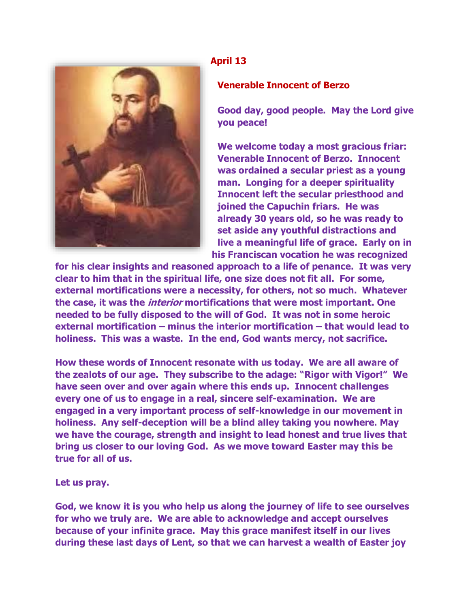

## **April 13**

## **Venerable Innocent of Berzo**

**Good day, good people. May the Lord give you peace!**

**We welcome today a most gracious friar: Venerable Innocent of Berzo. Innocent was ordained a secular priest as a young man. Longing for a deeper spirituality Innocent left the secular priesthood and joined the Capuchin friars. He was already 30 years old, so he was ready to set aside any youthful distractions and live a meaningful life of grace. Early on in his Franciscan vocation he was recognized** 

**for his clear insights and reasoned approach to a life of penance. It was very clear to him that in the spiritual life, one size does not fit all. For some, external mortifications were a necessity, for others, not so much. Whatever the case, it was the interior mortifications that were most important. One needed to be fully disposed to the will of God. It was not in some heroic external mortification – minus the interior mortification – that would lead to holiness. This was a waste. In the end, God wants mercy, not sacrifice.**

**How these words of Innocent resonate with us today. We are all aware of the zealots of our age. They subscribe to the adage: "Rigor with Vigor!" We have seen over and over again where this ends up. Innocent challenges every one of us to engage in a real, sincere self-examination. We are engaged in a very important process of self-knowledge in our movement in holiness. Any self-deception will be a blind alley taking you nowhere. May we have the courage, strength and insight to lead honest and true lives that bring us closer to our loving God. As we move toward Easter may this be true for all of us.**

**Let us pray.**

**God, we know it is you who help us along the journey of life to see ourselves for who we truly are. We are able to acknowledge and accept ourselves because of your infinite grace. May this grace manifest itself in our lives during these last days of Lent, so that we can harvest a wealth of Easter joy**